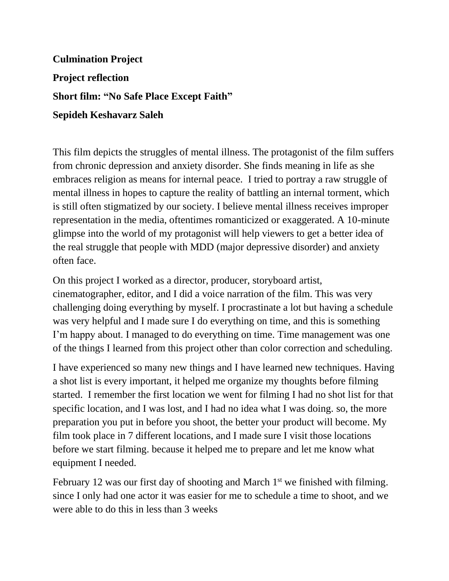**Culmination Project Project reflection Short film: "No Safe Place Except Faith" Sepideh Keshavarz Saleh**

This film depicts the struggles of mental illness. The protagonist of the film suffers from chronic depression and anxiety disorder. She finds meaning in life as she embraces religion as means for internal peace. I tried to portray a raw struggle of mental illness in hopes to capture the reality of battling an internal torment, which is still often stigmatized by our society. I believe mental illness receives improper representation in the media, oftentimes romanticized or exaggerated. A 10-minute glimpse into the world of my protagonist will help viewers to get a better idea of the real struggle that people with MDD (major depressive disorder) and anxiety often face.

On this project I worked as a director, producer, storyboard artist, cinematographer, editor, and I did a voice narration of the film. This was very challenging doing everything by myself. I procrastinate a lot but having a schedule was very helpful and I made sure I do everything on time, and this is something I'm happy about. I managed to do everything on time. Time management was one of the things I learned from this project other than color correction and scheduling.

I have experienced so many new things and I have learned new techniques. Having a shot list is every important, it helped me organize my thoughts before filming started. I remember the first location we went for filming I had no shot list for that specific location, and I was lost, and I had no idea what I was doing. so, the more preparation you put in before you shoot, the better your product will become. My film took place in 7 different locations, and I made sure I visit those locations before we start filming. because it helped me to prepare and let me know what equipment I needed.

February 12 was our first day of shooting and March  $1<sup>st</sup>$  we finished with filming. since I only had one actor it was easier for me to schedule a time to shoot, and we were able to do this in less than 3 weeks